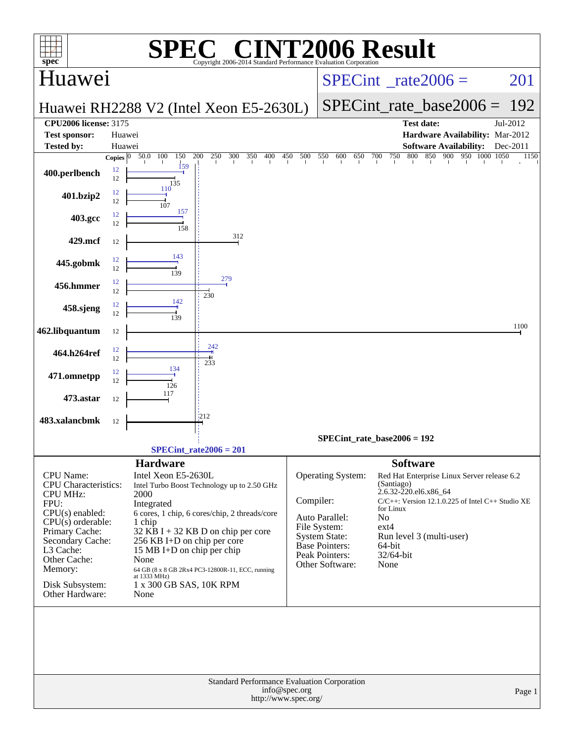| <b>C® CINT2006 Result</b><br>SPI<br>spec <sup>®</sup><br>Copyright 2006-2014 Standard Performance Evaluation Corporation |                                 |                                                 |                                                  |                                          |                                               |                                     |                                                        |                  |  |  |
|--------------------------------------------------------------------------------------------------------------------------|---------------------------------|-------------------------------------------------|--------------------------------------------------|------------------------------------------|-----------------------------------------------|-------------------------------------|--------------------------------------------------------|------------------|--|--|
| Huawei                                                                                                                   |                                 |                                                 |                                                  | $SPECint^{\circ}$ <sub>_rate2006</sub> = |                                               |                                     | 201                                                    |                  |  |  |
|                                                                                                                          |                                 |                                                 | Huawei RH2288 V2 (Intel Xeon E5-2630L)           |                                          |                                               | $SPECint_rate\_base2006 =$          | 192                                                    |                  |  |  |
| <b>CPU2006 license: 3175</b><br><b>Test date:</b><br>Jul-2012                                                            |                                 |                                                 |                                                  |                                          |                                               |                                     |                                                        |                  |  |  |
| <b>Test sponsor:</b>                                                                                                     | Huawei                          |                                                 |                                                  |                                          |                                               | Hardware Availability: Mar-2012     |                                                        |                  |  |  |
| <b>Tested by:</b>                                                                                                        | Huawei<br>Copies $\overline{0}$ | 50.0 100<br>150                                 | 200<br>250<br>300<br>350<br>400                  | 450<br>500                               | 550<br>600<br>650<br>700                      | 750<br>800                          | <b>Software Availability:</b><br>850 900 950 1000 1050 | Dec-2011<br>1150 |  |  |
| 400.perlbench                                                                                                            | 12<br>12                        | 159<br>135                                      |                                                  |                                          |                                               |                                     |                                                        |                  |  |  |
| 401.bzip2                                                                                                                | 12<br>12                        | 110<br>107                                      |                                                  |                                          |                                               |                                     |                                                        |                  |  |  |
| 403.gcc                                                                                                                  | 12<br>12                        | 157<br>158                                      |                                                  |                                          |                                               |                                     |                                                        |                  |  |  |
| 429.mcf                                                                                                                  | 12                              |                                                 | 312                                              |                                          |                                               |                                     |                                                        |                  |  |  |
| 445.gobmk                                                                                                                | 12<br>12                        | 143<br>139                                      |                                                  |                                          |                                               |                                     |                                                        |                  |  |  |
| 456.hmmer                                                                                                                | 12<br>12                        |                                                 | 279<br>230                                       |                                          |                                               |                                     |                                                        |                  |  |  |
| 458.sjeng                                                                                                                | 12<br>12                        | 142<br>139                                      |                                                  |                                          |                                               |                                     |                                                        |                  |  |  |
| 462.libquantum                                                                                                           | 12                              |                                                 |                                                  |                                          |                                               |                                     |                                                        | 1100             |  |  |
| 464.h264ref                                                                                                              | 12<br>12                        |                                                 | 242<br>233                                       |                                          |                                               |                                     |                                                        |                  |  |  |
| 471.omnetpp                                                                                                              | 12<br>12                        | 134<br>126                                      |                                                  |                                          |                                               |                                     |                                                        |                  |  |  |
| 473.astar                                                                                                                | 12                              | 117                                             |                                                  |                                          |                                               |                                     |                                                        |                  |  |  |
| 483.xalancbmk                                                                                                            | 12                              |                                                 | 1212                                             |                                          |                                               |                                     |                                                        |                  |  |  |
|                                                                                                                          |                                 |                                                 | $SPECint_rate2006 = 201$                         |                                          | $SPECint_rate_base2006 = 192$                 |                                     |                                                        |                  |  |  |
|                                                                                                                          |                                 | <b>Hardware</b>                                 |                                                  |                                          |                                               | <b>Software</b>                     |                                                        |                  |  |  |
| CPU Name:                                                                                                                |                                 | Intel Xeon E5-2630L                             |                                                  |                                          | <b>Operating System:</b>                      |                                     | Red Hat Enterprise Linux Server release 6.2            |                  |  |  |
| <b>CPU</b> Characteristics:                                                                                              |                                 |                                                 | Intel Turbo Boost Technology up to 2.50 GHz      |                                          |                                               | (Santiago)<br>2.6.32-220.el6.x86 64 |                                                        |                  |  |  |
| <b>CPU MHz:</b><br>2000<br>FPU:<br>Integrated                                                                            |                                 |                                                 |                                                  | Compiler:                                |                                               |                                     | $C/C++$ : Version 12.1.0.225 of Intel $C++$ Studio XE  |                  |  |  |
| $CPU(s)$ enabled:                                                                                                        |                                 |                                                 | 6 cores, 1 chip, 6 cores/chip, 2 threads/core    |                                          | Auto Parallel:                                | for Linux<br>N <sub>o</sub>         |                                                        |                  |  |  |
| $CPU(s)$ orderable:<br>Primary Cache:                                                                                    |                                 | 1 chip                                          | $32$ KB I + 32 KB D on chip per core             |                                          | File System:                                  | ext4                                |                                                        |                  |  |  |
| Secondary Cache:                                                                                                         |                                 | 256 KB I+D on chip per core                     |                                                  |                                          | <b>System State:</b><br><b>Base Pointers:</b> | 64-bit                              | Run level 3 (multi-user)                               |                  |  |  |
| L3 Cache:<br>Other Cache:                                                                                                |                                 | 15 MB I+D on chip per chip<br>None              |                                                  |                                          | Peak Pointers:                                | 32/64-bit                           |                                                        |                  |  |  |
| Memory:                                                                                                                  |                                 |                                                 | 64 GB (8 x 8 GB 2Rx4 PC3-12800R-11, ECC, running |                                          | Other Software:                               | None                                |                                                        |                  |  |  |
| Disk Subsystem:<br>Other Hardware:                                                                                       |                                 | at 1333 MHz)<br>1 x 300 GB SAS, 10K RPM<br>None |                                                  |                                          |                                               |                                     |                                                        |                  |  |  |
|                                                                                                                          |                                 |                                                 | Standard Performance Evaluation Corporation      |                                          |                                               |                                     |                                                        |                  |  |  |
| info@spec.org<br>Page 1<br>http://www.spec.org/                                                                          |                                 |                                                 |                                                  |                                          |                                               |                                     |                                                        |                  |  |  |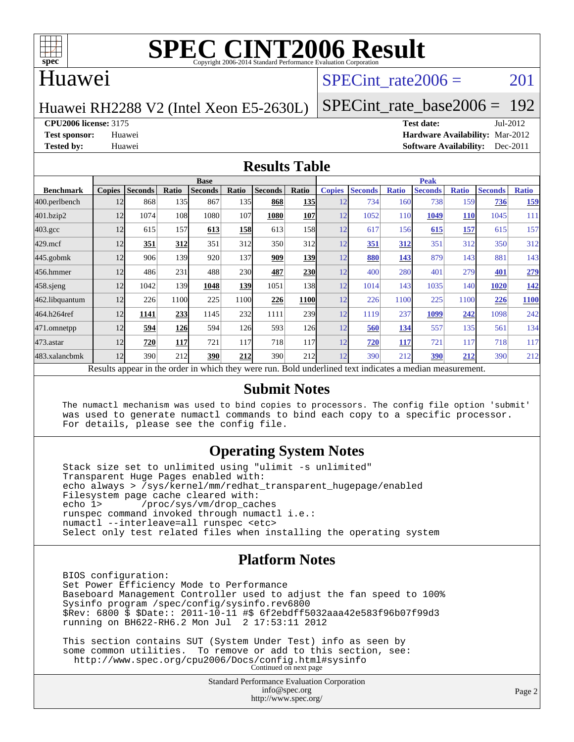

# **[SPEC CINT2006 Result](http://www.spec.org/auto/cpu2006/Docs/result-fields.html#SPECCINT2006Result)**

## Huawei

## SPECint rate $2006 = 201$

#### Huawei RH2288 V2 (Intel Xeon E5-2630L)

[SPECint\\_rate\\_base2006 =](http://www.spec.org/auto/cpu2006/Docs/result-fields.html#SPECintratebase2006) 192

**[CPU2006 license:](http://www.spec.org/auto/cpu2006/Docs/result-fields.html#CPU2006license)** 3175 **[Test date:](http://www.spec.org/auto/cpu2006/Docs/result-fields.html#Testdate)** Jul-2012

**[Test sponsor:](http://www.spec.org/auto/cpu2006/Docs/result-fields.html#Testsponsor)** Huawei **[Hardware Availability:](http://www.spec.org/auto/cpu2006/Docs/result-fields.html#HardwareAvailability)** Mar-2012 **[Tested by:](http://www.spec.org/auto/cpu2006/Docs/result-fields.html#Testedby)** Huawei **[Software Availability:](http://www.spec.org/auto/cpu2006/Docs/result-fields.html#SoftwareAvailability)** Dec-2011

#### **[Results Table](http://www.spec.org/auto/cpu2006/Docs/result-fields.html#ResultsTable)**

|                    | <b>Base</b>   |                |              |                                                                                                          |       |                |             |               | <b>Peak</b>    |              |                |              |                |              |  |
|--------------------|---------------|----------------|--------------|----------------------------------------------------------------------------------------------------------|-------|----------------|-------------|---------------|----------------|--------------|----------------|--------------|----------------|--------------|--|
| <b>Benchmark</b>   | <b>Copies</b> | <b>Seconds</b> | <b>Ratio</b> | <b>Seconds</b>                                                                                           | Ratio | <b>Seconds</b> | Ratio       | <b>Copies</b> | <b>Seconds</b> | <b>Ratio</b> | <b>Seconds</b> | <b>Ratio</b> | <b>Seconds</b> | <b>Ratio</b> |  |
| 400.perlbench      | 12            | 868            | 135          | 867                                                                                                      | 135I  | 868            | <b>135</b>  | 12            | 734            | 160          | 738            | 159          | 736            | 159          |  |
| 401.bzip2          | 12            | 1074           | 108          | 1080                                                                                                     | 107   | 1080           | 107         | 12            | 1052           | 110          | 1049           | <b>110</b>   | 1045           | 111          |  |
| $403.\mathrm{gcc}$ | 12            | 615            | 157          | 613                                                                                                      | 158   | 613            | 158         | 12            | 617            | 156          | 615            | 157          | 615            | 157          |  |
| $429$ .mcf         | 12            | 351            | 312          | 351                                                                                                      | 312   | 350            | 312         | 12            | 351            | 312          | 351            | 312          | 350            | 312          |  |
| $445$ .gobmk       | 12            | 906            | 139          | 920                                                                                                      | 137   | 909            | 139         | 12            | 880            | 143          | 879            | 143          | 881            | 143          |  |
| 456.hmmer          | 12            | 486            | 231          | 488                                                                                                      | 230   | 487            | 230         | 12            | 400            | 280          | 401            | 279          | 401            | 279          |  |
| $458$ .sjeng       | 12            | 1042           | 139          | 1048                                                                                                     | 139   | 1051           | 138         | 12            | 1014           | 143          | 1035           | 140          | 1020           | <u>142</u>   |  |
| 462.libquantum     | 12            | 226            | 1100         | 225                                                                                                      | 1100  | 226            | <b>1100</b> | 12            | 226            | 1100         | 225            | 1100         | 226            | 1100         |  |
| 464.h264ref        | 12            | 1141           | 233          | 1145                                                                                                     | 232   | 1111           | 239         | 12            | 1119           | 237          | 1099           | 242          | 1098           | 242          |  |
| 471.omnetpp        | 12            | 594            | <u>126</u>   | 594                                                                                                      | 126   | 593            | <b>126</b>  | 12            | 560            | 134          | 557            | 135          | 561            | 134          |  |
| $473$ . astar      | 12            | 720            | 117          | 721                                                                                                      | 117   | 718            | 117         | 12            | 720            | 117          | 721            | 117          | 718            | 117          |  |
| 483.xalancbmk      | 12            | 390            | 212          | 390                                                                                                      | 212   | 390            | 212         | 12            | 390            | 212          | 390            | 212          | 390            | 212          |  |
|                    |               |                |              | Results appear in the order in which they were run. Bold underlined text indicates a median measurement. |       |                |             |               |                |              |                |              |                |              |  |

#### **[Submit Notes](http://www.spec.org/auto/cpu2006/Docs/result-fields.html#SubmitNotes)**

 The numactl mechanism was used to bind copies to processors. The config file option 'submit' was used to generate numactl commands to bind each copy to a specific processor. For details, please see the config file.

### **[Operating System Notes](http://www.spec.org/auto/cpu2006/Docs/result-fields.html#OperatingSystemNotes)**

 Stack size set to unlimited using "ulimit -s unlimited" Transparent Huge Pages enabled with: echo always > /sys/kernel/mm/redhat\_transparent\_hugepage/enabled Filesystem page cache cleared with:<br>echo 1> /proc/sys/vm/drop cac /proc/sys/vm/drop\_caches runspec command invoked through numactl i.e.: numactl --interleave=all runspec <etc> Select only test related files when installing the operating system

### **[Platform Notes](http://www.spec.org/auto/cpu2006/Docs/result-fields.html#PlatformNotes)**

 BIOS configuration: Set Power Efficiency Mode to Performance Baseboard Management Controller used to adjust the fan speed to 100% Sysinfo program /spec/config/sysinfo.rev6800 \$Rev: 6800 \$ \$Date:: 2011-10-11 #\$ 6f2ebdff5032aaa42e583f96b07f99d3 running on BH622-RH6.2 Mon Jul 2 17:53:11 2012

 This section contains SUT (System Under Test) info as seen by some common utilities. To remove or add to this section, see: <http://www.spec.org/cpu2006/Docs/config.html#sysinfo> Continued on next page

> Standard Performance Evaluation Corporation [info@spec.org](mailto:info@spec.org) <http://www.spec.org/>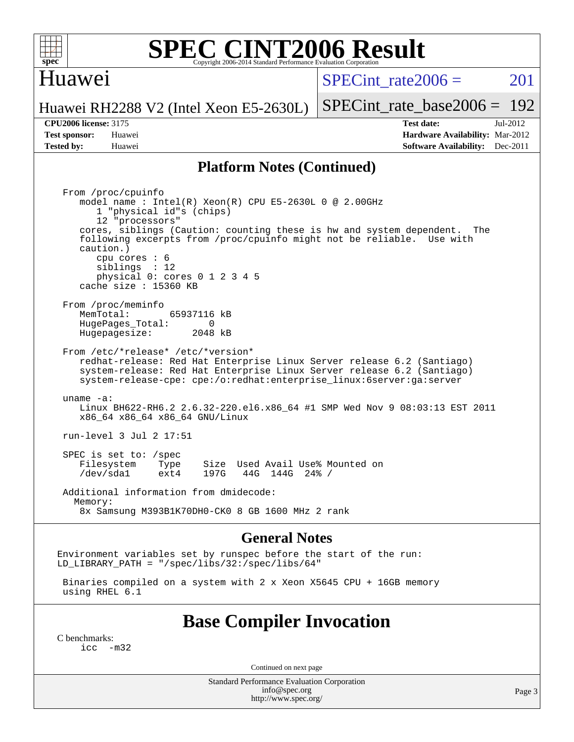

# **[SPEC CINT2006 Result](http://www.spec.org/auto/cpu2006/Docs/result-fields.html#SPECCINT2006Result)**

## Huawei

SPECint rate $2006 = 201$ 

[SPECint\\_rate\\_base2006 =](http://www.spec.org/auto/cpu2006/Docs/result-fields.html#SPECintratebase2006) 192

Huawei RH2288 V2 (Intel Xeon E5-2630L)

**[Tested by:](http://www.spec.org/auto/cpu2006/Docs/result-fields.html#Testedby)** Huawei **[Software Availability:](http://www.spec.org/auto/cpu2006/Docs/result-fields.html#SoftwareAvailability)** Dec-2011

**[CPU2006 license:](http://www.spec.org/auto/cpu2006/Docs/result-fields.html#CPU2006license)** 3175 **[Test date:](http://www.spec.org/auto/cpu2006/Docs/result-fields.html#Testdate)** Jul-2012 **[Test sponsor:](http://www.spec.org/auto/cpu2006/Docs/result-fields.html#Testsponsor)** Huawei **[Hardware Availability:](http://www.spec.org/auto/cpu2006/Docs/result-fields.html#HardwareAvailability)** Mar-2012

#### **[Platform Notes \(Continued\)](http://www.spec.org/auto/cpu2006/Docs/result-fields.html#PlatformNotes)**

 From /proc/cpuinfo model name : Intel(R) Xeon(R) CPU E5-2630L 0 @ 2.00GHz 1 "physical id"s (chips) 12 "processors" cores, siblings (Caution: counting these is hw and system dependent. The following excerpts from /proc/cpuinfo might not be reliable. Use with caution.) cpu cores : 6 siblings : 12 physical 0: cores 0 1 2 3 4 5 cache size : 15360 KB From /proc/meminfo<br>MemTotal: 65937116 kB HugePages\_Total: 0<br>Hugepagesize: 2048 kB Hugepagesize: From /etc/\*release\* /etc/\*version\* redhat-release: Red Hat Enterprise Linux Server release 6.2 (Santiago) system-release: Red Hat Enterprise Linux Server release 6.2 (Santiago) system-release-cpe: cpe:/o:redhat:enterprise\_linux:6server:ga:server uname -a: Linux BH622-RH6.2 2.6.32-220.el6.x86\_64 #1 SMP Wed Nov 9 08:03:13 EST 2011 x86\_64 x86\_64 x86\_64 GNU/Linux run-level 3 Jul 2 17:51 SPEC is set to: /spec Filesystem Type Size Used Avail Use% Mounted on<br>
/dev/sdal ext4 197G 44G 144G 24% / /dev/sda1 ext4 197G 44G 144G 24% / Additional information from dmidecode: Memory: 8x Samsung M393B1K70DH0-CK0 8 GB 1600 MHz 2 rank

#### **[General Notes](http://www.spec.org/auto/cpu2006/Docs/result-fields.html#GeneralNotes)**

Environment variables set by runspec before the start of the run: LD LIBRARY PATH = "/spec/libs/32:/spec/libs/64"

 Binaries compiled on a system with 2 x Xeon X5645 CPU + 16GB memory using RHEL 6.1

## **[Base Compiler Invocation](http://www.spec.org/auto/cpu2006/Docs/result-fields.html#BaseCompilerInvocation)**

[C benchmarks](http://www.spec.org/auto/cpu2006/Docs/result-fields.html#Cbenchmarks):  $inc -m32$ 

Continued on next page

Standard Performance Evaluation Corporation [info@spec.org](mailto:info@spec.org) <http://www.spec.org/>

Page 3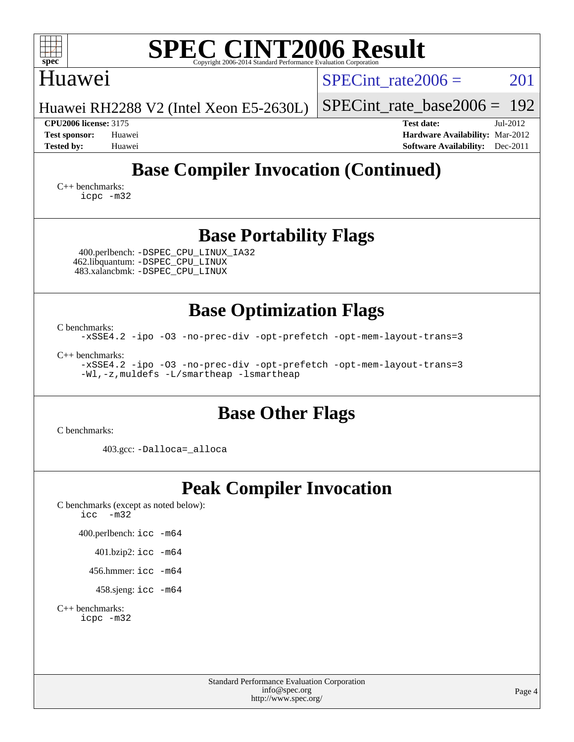| <b>SPEC CINT2006 Result</b><br>$spec^*$<br>Convright 2006-2014 Standard Performance Evaluation Cor                                                                                                                                                                  |                                                                                                            |  |  |  |  |  |  |
|---------------------------------------------------------------------------------------------------------------------------------------------------------------------------------------------------------------------------------------------------------------------|------------------------------------------------------------------------------------------------------------|--|--|--|--|--|--|
| Huawei                                                                                                                                                                                                                                                              | $SPECint$ rate $2006 =$<br>201                                                                             |  |  |  |  |  |  |
| Huawei RH2288 V2 (Intel Xeon E5-2630L)                                                                                                                                                                                                                              | 192<br>$SPECint_rate_base2006 =$                                                                           |  |  |  |  |  |  |
| <b>CPU2006 license: 3175</b><br><b>Test sponsor:</b><br>Huawei<br><b>Tested by:</b><br>Huawei                                                                                                                                                                       | Jul-2012<br><b>Test date:</b><br>Hardware Availability: Mar-2012<br><b>Software Availability:</b> Dec-2011 |  |  |  |  |  |  |
| <b>Base Compiler Invocation (Continued)</b><br>$C_{++}$ benchmarks:<br>icpc -m32                                                                                                                                                                                    |                                                                                                            |  |  |  |  |  |  |
| <b>Base Portability Flags</b>                                                                                                                                                                                                                                       |                                                                                                            |  |  |  |  |  |  |
| 400.perlbench: -DSPEC_CPU_LINUX_IA32<br>462.libquantum: -DSPEC_CPU_LINUX<br>483.xalancbmk: -DSPEC_CPU_LINUX                                                                                                                                                         |                                                                                                            |  |  |  |  |  |  |
| <b>Base Optimization Flags</b><br>C benchmarks:<br>-xSSE4.2 -ipo -03 -no-prec-div -opt-prefetch -opt-mem-layout-trans=3<br>$C_{++}$ benchmarks:<br>-xSSE4.2 -ipo -03 -no-prec-div -opt-prefetch -opt-mem-layout-trans=3<br>-Wl,-z, muldefs -L/smartheap -lsmartheap |                                                                                                            |  |  |  |  |  |  |
| <b>Base Other Flags</b><br>C benchmarks:                                                                                                                                                                                                                            |                                                                                                            |  |  |  |  |  |  |
| 403.gcc: -Dalloca=_alloca                                                                                                                                                                                                                                           |                                                                                                            |  |  |  |  |  |  |
| <b>Peak Compiler Invocation</b><br>C benchmarks (except as noted below):<br>icc<br>$-m32$                                                                                                                                                                           |                                                                                                            |  |  |  |  |  |  |
| 400.perlbench: icc -m64                                                                                                                                                                                                                                             |                                                                                                            |  |  |  |  |  |  |
| 401.bzip2: icc -m64                                                                                                                                                                                                                                                 |                                                                                                            |  |  |  |  |  |  |
| 456.hmmer: $\text{icc}$ -m64                                                                                                                                                                                                                                        |                                                                                                            |  |  |  |  |  |  |
| 458.sjeng: icc -m64                                                                                                                                                                                                                                                 |                                                                                                            |  |  |  |  |  |  |
| $C++$ benchmarks:<br>icpc -m32                                                                                                                                                                                                                                      |                                                                                                            |  |  |  |  |  |  |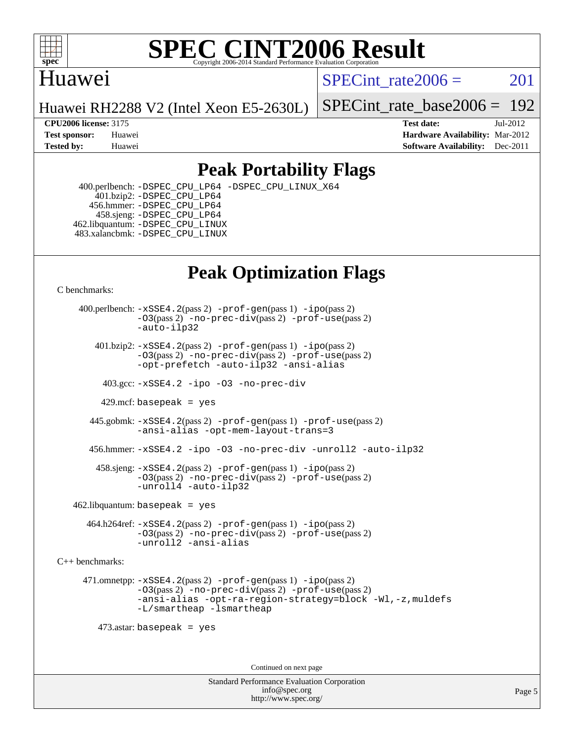

### **[SPEC CINT2006 Result](http://www.spec.org/auto/cpu2006/Docs/result-fields.html#SPECCINT2006Result)** Copyright 2006-2014 Standard Performance Evaluation C

## Huawei

SPECint rate $2006 = 201$ 

Huawei RH2288 V2 (Intel Xeon E5-2630L)

[SPECint\\_rate\\_base2006 =](http://www.spec.org/auto/cpu2006/Docs/result-fields.html#SPECintratebase2006) 192

**[CPU2006 license:](http://www.spec.org/auto/cpu2006/Docs/result-fields.html#CPU2006license)** 3175 **[Test date:](http://www.spec.org/auto/cpu2006/Docs/result-fields.html#Testdate)** Jul-2012 **[Test sponsor:](http://www.spec.org/auto/cpu2006/Docs/result-fields.html#Testsponsor)** Huawei **[Hardware Availability:](http://www.spec.org/auto/cpu2006/Docs/result-fields.html#HardwareAvailability)** Mar-2012 **[Tested by:](http://www.spec.org/auto/cpu2006/Docs/result-fields.html#Testedby)** Huawei **[Software Availability:](http://www.spec.org/auto/cpu2006/Docs/result-fields.html#SoftwareAvailability)** Dec-2011

## **[Peak Portability Flags](http://www.spec.org/auto/cpu2006/Docs/result-fields.html#PeakPortabilityFlags)**

 400.perlbench: [-DSPEC\\_CPU\\_LP64](http://www.spec.org/cpu2006/results/res2012q3/cpu2006-20120716-23689.flags.html#b400.perlbench_peakCPORTABILITY_DSPEC_CPU_LP64) [-DSPEC\\_CPU\\_LINUX\\_X64](http://www.spec.org/cpu2006/results/res2012q3/cpu2006-20120716-23689.flags.html#b400.perlbench_peakCPORTABILITY_DSPEC_CPU_LINUX_X64) 401.bzip2: [-DSPEC\\_CPU\\_LP64](http://www.spec.org/cpu2006/results/res2012q3/cpu2006-20120716-23689.flags.html#suite_peakCPORTABILITY401_bzip2_DSPEC_CPU_LP64) 456.hmmer: [-DSPEC\\_CPU\\_LP64](http://www.spec.org/cpu2006/results/res2012q3/cpu2006-20120716-23689.flags.html#suite_peakCPORTABILITY456_hmmer_DSPEC_CPU_LP64) 458.sjeng: [-DSPEC\\_CPU\\_LP64](http://www.spec.org/cpu2006/results/res2012q3/cpu2006-20120716-23689.flags.html#suite_peakCPORTABILITY458_sjeng_DSPEC_CPU_LP64) 462.libquantum: [-DSPEC\\_CPU\\_LINUX](http://www.spec.org/cpu2006/results/res2012q3/cpu2006-20120716-23689.flags.html#b462.libquantum_peakCPORTABILITY_DSPEC_CPU_LINUX) 483.xalancbmk: [-DSPEC\\_CPU\\_LINUX](http://www.spec.org/cpu2006/results/res2012q3/cpu2006-20120716-23689.flags.html#b483.xalancbmk_peakCXXPORTABILITY_DSPEC_CPU_LINUX)

## **[Peak Optimization Flags](http://www.spec.org/auto/cpu2006/Docs/result-fields.html#PeakOptimizationFlags)**

[C benchmarks](http://www.spec.org/auto/cpu2006/Docs/result-fields.html#Cbenchmarks):

 400.perlbench: [-xSSE4.2](http://www.spec.org/cpu2006/results/res2012q3/cpu2006-20120716-23689.flags.html#user_peakPASS2_CFLAGSPASS2_LDCFLAGS400_perlbench_f-xSSE42_f91528193cf0b216347adb8b939d4107)(pass 2) [-prof-gen](http://www.spec.org/cpu2006/results/res2012q3/cpu2006-20120716-23689.flags.html#user_peakPASS1_CFLAGSPASS1_LDCFLAGS400_perlbench_prof_gen_e43856698f6ca7b7e442dfd80e94a8fc)(pass 1) [-ipo](http://www.spec.org/cpu2006/results/res2012q3/cpu2006-20120716-23689.flags.html#user_peakPASS2_CFLAGSPASS2_LDCFLAGS400_perlbench_f-ipo)(pass 2) [-O3](http://www.spec.org/cpu2006/results/res2012q3/cpu2006-20120716-23689.flags.html#user_peakPASS2_CFLAGSPASS2_LDCFLAGS400_perlbench_f-O3)(pass 2) [-no-prec-div](http://www.spec.org/cpu2006/results/res2012q3/cpu2006-20120716-23689.flags.html#user_peakPASS2_CFLAGSPASS2_LDCFLAGS400_perlbench_f-no-prec-div)(pass 2) [-prof-use](http://www.spec.org/cpu2006/results/res2012q3/cpu2006-20120716-23689.flags.html#user_peakPASS2_CFLAGSPASS2_LDCFLAGS400_perlbench_prof_use_bccf7792157ff70d64e32fe3e1250b55)(pass 2) [-auto-ilp32](http://www.spec.org/cpu2006/results/res2012q3/cpu2006-20120716-23689.flags.html#user_peakCOPTIMIZE400_perlbench_f-auto-ilp32)  $401.bzip2: -xSSE4.2(pass 2) -prof-qen(pass 1) -ipo(pass 2)$  $401.bzip2: -xSSE4.2(pass 2) -prof-qen(pass 1) -ipo(pass 2)$  $401.bzip2: -xSSE4.2(pass 2) -prof-qen(pass 1) -ipo(pass 2)$  $401.bzip2: -xSSE4.2(pass 2) -prof-qen(pass 1) -ipo(pass 2)$  $401.bzip2: -xSSE4.2(pass 2) -prof-qen(pass 1) -ipo(pass 2)$ [-O3](http://www.spec.org/cpu2006/results/res2012q3/cpu2006-20120716-23689.flags.html#user_peakPASS2_CFLAGSPASS2_LDCFLAGS401_bzip2_f-O3)(pass 2) [-no-prec-div](http://www.spec.org/cpu2006/results/res2012q3/cpu2006-20120716-23689.flags.html#user_peakPASS2_CFLAGSPASS2_LDCFLAGS401_bzip2_f-no-prec-div)(pass 2) [-prof-use](http://www.spec.org/cpu2006/results/res2012q3/cpu2006-20120716-23689.flags.html#user_peakPASS2_CFLAGSPASS2_LDCFLAGS401_bzip2_prof_use_bccf7792157ff70d64e32fe3e1250b55)(pass 2) [-opt-prefetch](http://www.spec.org/cpu2006/results/res2012q3/cpu2006-20120716-23689.flags.html#user_peakCOPTIMIZE401_bzip2_f-opt-prefetch) [-auto-ilp32](http://www.spec.org/cpu2006/results/res2012q3/cpu2006-20120716-23689.flags.html#user_peakCOPTIMIZE401_bzip2_f-auto-ilp32) [-ansi-alias](http://www.spec.org/cpu2006/results/res2012q3/cpu2006-20120716-23689.flags.html#user_peakCOPTIMIZE401_bzip2_f-ansi-alias) 403.gcc: [-xSSE4.2](http://www.spec.org/cpu2006/results/res2012q3/cpu2006-20120716-23689.flags.html#user_peakCOPTIMIZE403_gcc_f-xSSE42_f91528193cf0b216347adb8b939d4107) [-ipo](http://www.spec.org/cpu2006/results/res2012q3/cpu2006-20120716-23689.flags.html#user_peakCOPTIMIZE403_gcc_f-ipo) [-O3](http://www.spec.org/cpu2006/results/res2012q3/cpu2006-20120716-23689.flags.html#user_peakCOPTIMIZE403_gcc_f-O3) [-no-prec-div](http://www.spec.org/cpu2006/results/res2012q3/cpu2006-20120716-23689.flags.html#user_peakCOPTIMIZE403_gcc_f-no-prec-div) 429.mcf: basepeak = yes 445.gobmk: [-xSSE4.2](http://www.spec.org/cpu2006/results/res2012q3/cpu2006-20120716-23689.flags.html#user_peakPASS2_CFLAGSPASS2_LDCFLAGS445_gobmk_f-xSSE42_f91528193cf0b216347adb8b939d4107)(pass 2) [-prof-gen](http://www.spec.org/cpu2006/results/res2012q3/cpu2006-20120716-23689.flags.html#user_peakPASS1_CFLAGSPASS1_LDCFLAGS445_gobmk_prof_gen_e43856698f6ca7b7e442dfd80e94a8fc)(pass 1) [-prof-use](http://www.spec.org/cpu2006/results/res2012q3/cpu2006-20120716-23689.flags.html#user_peakPASS2_CFLAGSPASS2_LDCFLAGS445_gobmk_prof_use_bccf7792157ff70d64e32fe3e1250b55)(pass 2) [-ansi-alias](http://www.spec.org/cpu2006/results/res2012q3/cpu2006-20120716-23689.flags.html#user_peakCOPTIMIZE445_gobmk_f-ansi-alias) [-opt-mem-layout-trans=3](http://www.spec.org/cpu2006/results/res2012q3/cpu2006-20120716-23689.flags.html#user_peakCOPTIMIZE445_gobmk_f-opt-mem-layout-trans_a7b82ad4bd7abf52556d4961a2ae94d5) 456.hmmer: [-xSSE4.2](http://www.spec.org/cpu2006/results/res2012q3/cpu2006-20120716-23689.flags.html#user_peakCOPTIMIZE456_hmmer_f-xSSE42_f91528193cf0b216347adb8b939d4107) [-ipo](http://www.spec.org/cpu2006/results/res2012q3/cpu2006-20120716-23689.flags.html#user_peakCOPTIMIZE456_hmmer_f-ipo) [-O3](http://www.spec.org/cpu2006/results/res2012q3/cpu2006-20120716-23689.flags.html#user_peakCOPTIMIZE456_hmmer_f-O3) [-no-prec-div](http://www.spec.org/cpu2006/results/res2012q3/cpu2006-20120716-23689.flags.html#user_peakCOPTIMIZE456_hmmer_f-no-prec-div) [-unroll2](http://www.spec.org/cpu2006/results/res2012q3/cpu2006-20120716-23689.flags.html#user_peakCOPTIMIZE456_hmmer_f-unroll_784dae83bebfb236979b41d2422d7ec2) [-auto-ilp32](http://www.spec.org/cpu2006/results/res2012q3/cpu2006-20120716-23689.flags.html#user_peakCOPTIMIZE456_hmmer_f-auto-ilp32) 458.sjeng: [-xSSE4.2](http://www.spec.org/cpu2006/results/res2012q3/cpu2006-20120716-23689.flags.html#user_peakPASS2_CFLAGSPASS2_LDCFLAGS458_sjeng_f-xSSE42_f91528193cf0b216347adb8b939d4107)(pass 2) [-prof-gen](http://www.spec.org/cpu2006/results/res2012q3/cpu2006-20120716-23689.flags.html#user_peakPASS1_CFLAGSPASS1_LDCFLAGS458_sjeng_prof_gen_e43856698f6ca7b7e442dfd80e94a8fc)(pass 1) [-ipo](http://www.spec.org/cpu2006/results/res2012q3/cpu2006-20120716-23689.flags.html#user_peakPASS2_CFLAGSPASS2_LDCFLAGS458_sjeng_f-ipo)(pass 2) [-O3](http://www.spec.org/cpu2006/results/res2012q3/cpu2006-20120716-23689.flags.html#user_peakPASS2_CFLAGSPASS2_LDCFLAGS458_sjeng_f-O3)(pass 2) [-no-prec-div](http://www.spec.org/cpu2006/results/res2012q3/cpu2006-20120716-23689.flags.html#user_peakPASS2_CFLAGSPASS2_LDCFLAGS458_sjeng_f-no-prec-div)(pass 2) [-prof-use](http://www.spec.org/cpu2006/results/res2012q3/cpu2006-20120716-23689.flags.html#user_peakPASS2_CFLAGSPASS2_LDCFLAGS458_sjeng_prof_use_bccf7792157ff70d64e32fe3e1250b55)(pass 2) [-unroll4](http://www.spec.org/cpu2006/results/res2012q3/cpu2006-20120716-23689.flags.html#user_peakCOPTIMIZE458_sjeng_f-unroll_4e5e4ed65b7fd20bdcd365bec371b81f) [-auto-ilp32](http://www.spec.org/cpu2006/results/res2012q3/cpu2006-20120716-23689.flags.html#user_peakCOPTIMIZE458_sjeng_f-auto-ilp32)  $462$ .libquantum: basepeak = yes 464.h264ref: [-xSSE4.2](http://www.spec.org/cpu2006/results/res2012q3/cpu2006-20120716-23689.flags.html#user_peakPASS2_CFLAGSPASS2_LDCFLAGS464_h264ref_f-xSSE42_f91528193cf0b216347adb8b939d4107)(pass 2) [-prof-gen](http://www.spec.org/cpu2006/results/res2012q3/cpu2006-20120716-23689.flags.html#user_peakPASS1_CFLAGSPASS1_LDCFLAGS464_h264ref_prof_gen_e43856698f6ca7b7e442dfd80e94a8fc)(pass 1) [-ipo](http://www.spec.org/cpu2006/results/res2012q3/cpu2006-20120716-23689.flags.html#user_peakPASS2_CFLAGSPASS2_LDCFLAGS464_h264ref_f-ipo)(pass 2) [-O3](http://www.spec.org/cpu2006/results/res2012q3/cpu2006-20120716-23689.flags.html#user_peakPASS2_CFLAGSPASS2_LDCFLAGS464_h264ref_f-O3)(pass 2) [-no-prec-div](http://www.spec.org/cpu2006/results/res2012q3/cpu2006-20120716-23689.flags.html#user_peakPASS2_CFLAGSPASS2_LDCFLAGS464_h264ref_f-no-prec-div)(pass 2) [-prof-use](http://www.spec.org/cpu2006/results/res2012q3/cpu2006-20120716-23689.flags.html#user_peakPASS2_CFLAGSPASS2_LDCFLAGS464_h264ref_prof_use_bccf7792157ff70d64e32fe3e1250b55)(pass 2) [-unroll2](http://www.spec.org/cpu2006/results/res2012q3/cpu2006-20120716-23689.flags.html#user_peakCOPTIMIZE464_h264ref_f-unroll_784dae83bebfb236979b41d2422d7ec2) [-ansi-alias](http://www.spec.org/cpu2006/results/res2012q3/cpu2006-20120716-23689.flags.html#user_peakCOPTIMIZE464_h264ref_f-ansi-alias) [C++ benchmarks:](http://www.spec.org/auto/cpu2006/Docs/result-fields.html#CXXbenchmarks) 471.omnetpp: [-xSSE4.2](http://www.spec.org/cpu2006/results/res2012q3/cpu2006-20120716-23689.flags.html#user_peakPASS2_CXXFLAGSPASS2_LDCXXFLAGS471_omnetpp_f-xSSE42_f91528193cf0b216347adb8b939d4107)(pass 2) [-prof-gen](http://www.spec.org/cpu2006/results/res2012q3/cpu2006-20120716-23689.flags.html#user_peakPASS1_CXXFLAGSPASS1_LDCXXFLAGS471_omnetpp_prof_gen_e43856698f6ca7b7e442dfd80e94a8fc)(pass 1) [-ipo](http://www.spec.org/cpu2006/results/res2012q3/cpu2006-20120716-23689.flags.html#user_peakPASS2_CXXFLAGSPASS2_LDCXXFLAGS471_omnetpp_f-ipo)(pass 2) [-O3](http://www.spec.org/cpu2006/results/res2012q3/cpu2006-20120716-23689.flags.html#user_peakPASS2_CXXFLAGSPASS2_LDCXXFLAGS471_omnetpp_f-O3)(pass 2) [-no-prec-div](http://www.spec.org/cpu2006/results/res2012q3/cpu2006-20120716-23689.flags.html#user_peakPASS2_CXXFLAGSPASS2_LDCXXFLAGS471_omnetpp_f-no-prec-div)(pass 2) [-prof-use](http://www.spec.org/cpu2006/results/res2012q3/cpu2006-20120716-23689.flags.html#user_peakPASS2_CXXFLAGSPASS2_LDCXXFLAGS471_omnetpp_prof_use_bccf7792157ff70d64e32fe3e1250b55)(pass 2) [-ansi-alias](http://www.spec.org/cpu2006/results/res2012q3/cpu2006-20120716-23689.flags.html#user_peakCXXOPTIMIZE471_omnetpp_f-ansi-alias) [-opt-ra-region-strategy=block](http://www.spec.org/cpu2006/results/res2012q3/cpu2006-20120716-23689.flags.html#user_peakCXXOPTIMIZE471_omnetpp_f-opt-ra-region-strategy_a0a37c372d03933b2a18d4af463c1f69) [-Wl,-z,muldefs](http://www.spec.org/cpu2006/results/res2012q3/cpu2006-20120716-23689.flags.html#user_peakEXTRA_LDFLAGS471_omnetpp_link_force_multiple1_74079c344b956b9658436fd1b6dd3a8a) [-L/smartheap -lsmartheap](http://www.spec.org/cpu2006/results/res2012q3/cpu2006-20120716-23689.flags.html#user_peakEXTRA_LIBS471_omnetpp_SmartHeap_7c9e394a5779e1a7fec7c221e123830c) 473.astar: basepeak = yes Continued on next page

> Standard Performance Evaluation Corporation [info@spec.org](mailto:info@spec.org) <http://www.spec.org/>